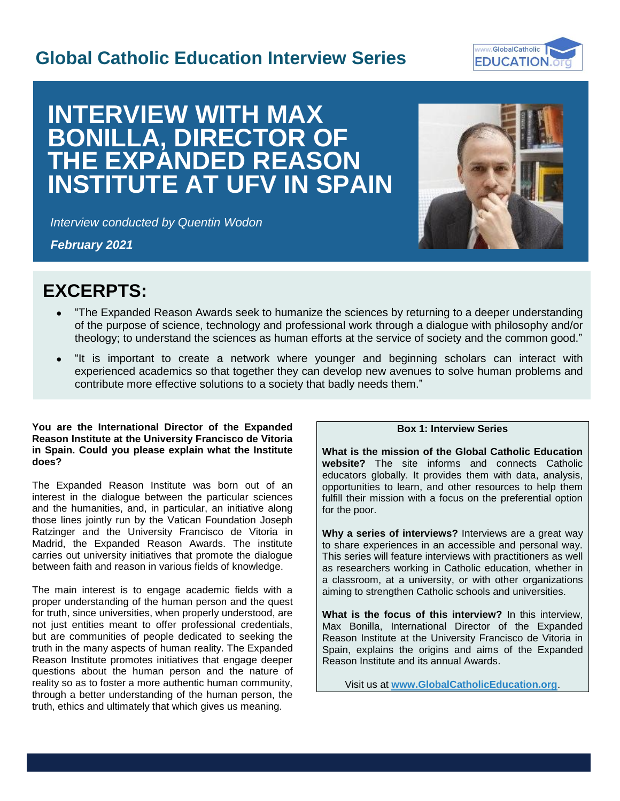# **Global Catholic Education Interview Series**



# **INTERVIEW WITH MAX BONILLA, DIRECTOR OF THE EXPANDED REASON INSTITUTE AT UFV IN SPAIN**

*Interview conducted by Quentin Wodon*

*February 2021*



I

# **EXCERPTS:**

- "The Expanded Reason Awards seek to humanize the sciences by returning to a deeper understanding of the purpose of science, technology and professional work through a dialogue with philosophy and/or theology; to understand the sciences as human efforts at the service of society and the common good."
- "It is important to create a network where younger and beginning scholars can interact with experienced academics so that together they can develop new avenues to solve human problems and contribute more effective solutions to a society that badly needs them."

#### **You are the International Director of the Expanded Reason Institute at the University Francisco de Vitoria in Spain. Could you please explain what the Institute does?**

The Expanded Reason Institute was born out of an interest in the dialogue between the particular sciences and the humanities, and, in particular, an initiative along those lines jointly run by the Vatican Foundation Joseph Ratzinger and the University Francisco de Vitoria in Madrid, the Expanded Reason Awards. The institute carries out university initiatives that promote the dialogue between faith and reason in various fields of knowledge.

The main interest is to engage academic fields with a proper understanding of the human person and the quest for truth, since universities, when properly understood, are not just entities meant to offer professional credentials, but are communities of people dedicated to seeking the truth in the many aspects of human reality. The Expanded Reason Institute promotes initiatives that engage deeper questions about the human person and the nature of reality so as to foster a more authentic human community, through a better understanding of the human person, the truth, ethics and ultimately that which gives us meaning.

## **Box 1: Interview Series**

**What is the mission of the Global Catholic Education website?** The site informs and connects Catholic educators globally. It provides them with data, analysis, opportunities to learn, and other resources to help them fulfill their mission with a focus on the preferential option for the poor.

**Why a series of interviews?** Interviews are a great way to share experiences in an accessible and personal way. This series will feature interviews with practitioners as well as researchers working in Catholic education, whether in a classroom, at a university, or with other organizations aiming to strengthen Catholic schools and universities.

**What is the focus of this interview?** In this interview, Max Bonilla, International Director of the Expanded Reason Institute at the University Francisco de Vitoria in Spain, explains the origins and aims of the Expanded Reason Institute and its annual Awards.

Visit us at **[www.GlobalCatholicEducation.org](http://www.globalcatholiceducation.org/)**.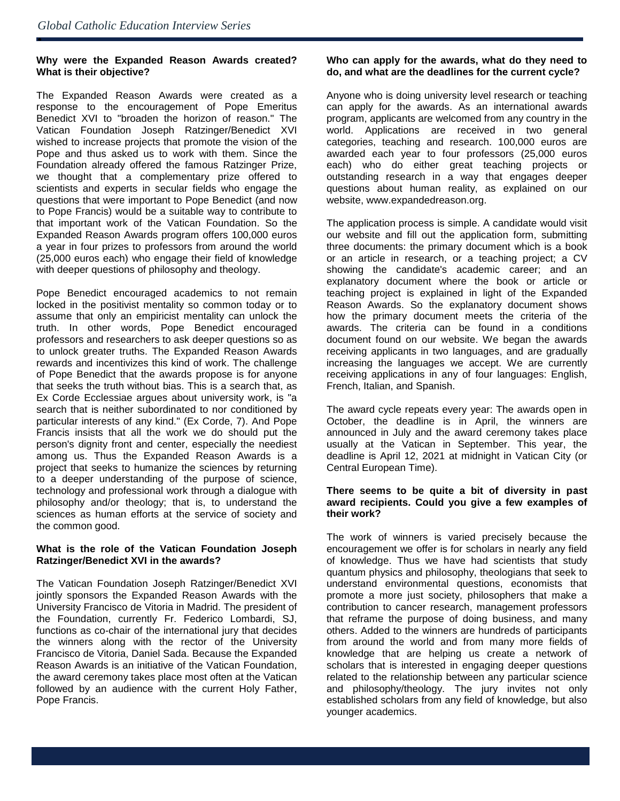ė

#### **Why were the Expanded Reason Awards created? What is their objective?**

The Expanded Reason Awards were created as a response to the encouragement of Pope Emeritus Benedict XVI to "broaden the horizon of reason." The Vatican Foundation Joseph Ratzinger/Benedict XVI wished to increase projects that promote the vision of the Pope and thus asked us to work with them. Since the Foundation already offered the famous Ratzinger Prize, we thought that a complementary prize offered to scientists and experts in secular fields who engage the questions that were important to Pope Benedict (and now to Pope Francis) would be a suitable way to contribute to that important work of the Vatican Foundation. So the Expanded Reason Awards program offers 100,000 euros a year in four prizes to professors from around the world (25,000 euros each) who engage their field of knowledge with deeper questions of philosophy and theology.

Pope Benedict encouraged academics to not remain locked in the positivist mentality so common today or to assume that only an empiricist mentality can unlock the truth. In other words, Pope Benedict encouraged professors and researchers to ask deeper questions so as to unlock greater truths. The Expanded Reason Awards rewards and incentivizes this kind of work. The challenge of Pope Benedict that the awards propose is for anyone that seeks the truth without bias. This is a search that, as Ex Corde Ecclessiae argues about university work, is "a search that is neither subordinated to nor conditioned by particular interests of any kind." (Ex Corde, 7). And Pope Francis insists that all the work we do should put the person's dignity front and center, especially the neediest among us. Thus the Expanded Reason Awards is a project that seeks to humanize the sciences by returning to a deeper understanding of the purpose of science, technology and professional work through a dialogue with philosophy and/or theology; that is, to understand the sciences as human efforts at the service of society and the common good.

#### **What is the role of the Vatican Foundation Joseph Ratzinger/Benedict XVI in the awards?**

The Vatican Foundation Joseph Ratzinger/Benedict XVI jointly sponsors the Expanded Reason Awards with the University Francisco de Vitoria in Madrid. The president of the Foundation, currently Fr. Federico Lombardi, SJ, functions as co-chair of the international jury that decides the winners along with the rector of the University Francisco de Vitoria, Daniel Sada. Because the Expanded Reason Awards is an initiative of the Vatican Foundation, the award ceremony takes place most often at the Vatican followed by an audience with the current Holy Father, Pope Francis.

### **Who can apply for the awards, what do they need to do, and what are the deadlines for the current cycle?**

Anyone who is doing university level research or teaching can apply for the awards. As an international awards program, applicants are welcomed from any country in the world. Applications are received in two general categories, teaching and research. 100,000 euros are awarded each year to four professors (25,000 euros each) who do either great teaching projects or outstanding research in a way that engages deeper questions about human reality, as explained on our website, www.expandedreason.org.

The application process is simple. A candidate would visit our website and fill out the application form, submitting three documents: the primary document which is a book or an article in research, or a teaching project; a CV showing the candidate's academic career; and an explanatory document where the book or article or teaching project is explained in light of the Expanded Reason Awards. So the explanatory document shows how the primary document meets the criteria of the awards. The criteria can be found in a conditions document found on our website. We began the awards receiving applicants in two languages, and are gradually increasing the languages we accept. We are currently receiving applications in any of four languages: English, French, Italian, and Spanish.

The award cycle repeats every year: The awards open in October, the deadline is in April, the winners are announced in July and the award ceremony takes place usually at the Vatican in September. This year, the deadline is April 12, 2021 at midnight in Vatican City (or Central European Time).

#### **There seems to be quite a bit of diversity in past award recipients. Could you give a few examples of their work?**

The work of winners is varied precisely because the encouragement we offer is for scholars in nearly any field of knowledge. Thus we have had scientists that study quantum physics and philosophy, theologians that seek to understand environmental questions, economists that promote a more just society, philosophers that make a contribution to cancer research, management professors that reframe the purpose of doing business, and many others. Added to the winners are hundreds of participants from around the world and from many more fields of knowledge that are helping us create a network of scholars that is interested in engaging deeper questions related to the relationship between any particular science and philosophy/theology. The jury invites not only established scholars from any field of knowledge, but also younger academics.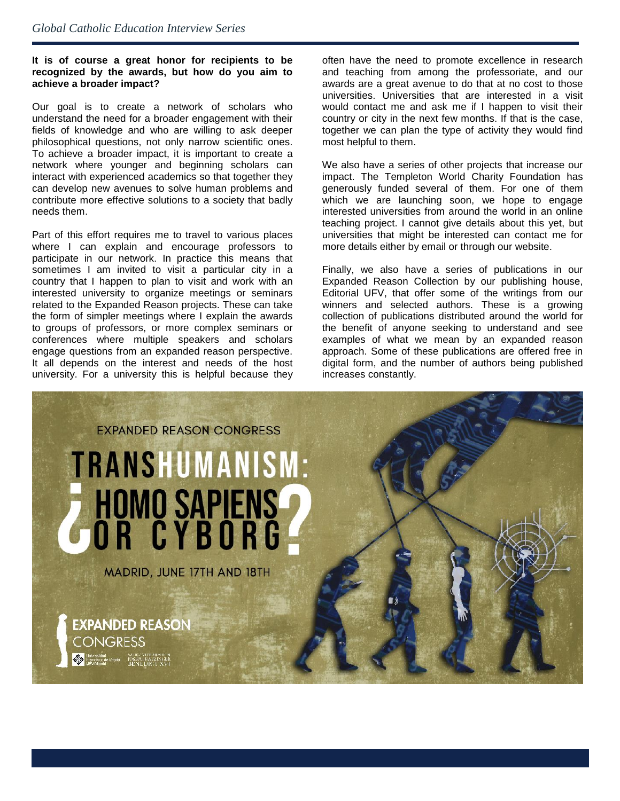### **It is of course a great honor for recipients to be recognized by the awards, but how do you aim to achieve a broader impact?**

Our goal is to create a network of scholars who understand the need for a broader engagement with their fields of knowledge and who are willing to ask deeper philosophical questions, not only narrow scientific ones. To achieve a broader impact, it is important to create a network where younger and beginning scholars can interact with experienced academics so that together they can develop new avenues to solve human problems and contribute more effective solutions to a society that badly needs them.

Part of this effort requires me to travel to various places where I can explain and encourage professors to participate in our network. In practice this means that sometimes I am invited to visit a particular city in a country that I happen to plan to visit and work with an interested university to organize meetings or seminars related to the Expanded Reason projects. These can take the form of simpler meetings where I explain the awards to groups of professors, or more complex seminars or conferences where multiple speakers and scholars engage questions from an expanded reason perspective. It all depends on the interest and needs of the host university. For a university this is helpful because they

often have the need to promote excellence in research and teaching from among the professoriate, and our awards are a great avenue to do that at no cost to those universities. Universities that are interested in a visit would contact me and ask me if I happen to visit their country or city in the next few months. If that is the case, together we can plan the type of activity they would find most helpful to them.

We also have a series of other projects that increase our impact. The Templeton World Charity Foundation has generously funded several of them. For one of them which we are launching soon, we hope to engage interested universities from around the world in an online teaching project. I cannot give details about this yet, but universities that might be interested can contact me for more details either by email or through our website.

Finally, we also have a series of publications in our Expanded Reason Collection by our publishing house, Editorial UFV, that offer some of the writings from our winners and selected authors. These is a growing collection of publications distributed around the world for the benefit of anyone seeking to understand and see examples of what we mean by an expanded reason approach. Some of these publications are offered free in digital form, and the number of authors being published increases constantly.